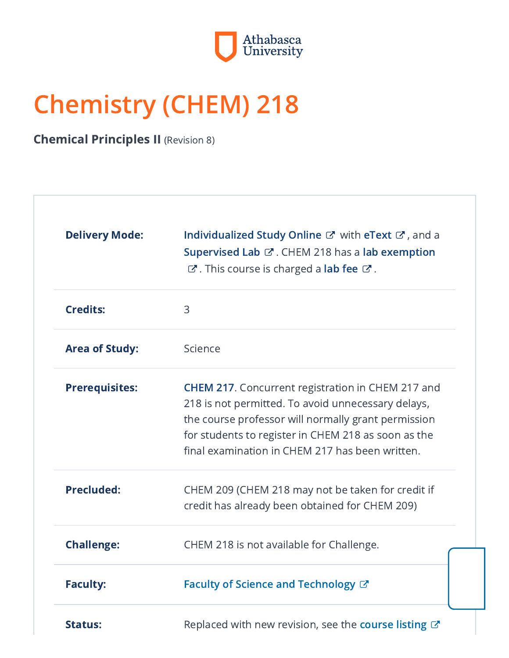

# Chemistry (CHEM) 218

**Chemical Principles II** (Revision 8)

| <b>Delivery Mode:</b> | Individualized Study Online & with eText &, and a<br>Supervised Lab & CHEM 218 has a lab exemption<br>$\mathbb{C}^{\bullet}$ . This course is charged a lab fee $\mathbb{C}^{\bullet}$ .                                                                                        |
|-----------------------|---------------------------------------------------------------------------------------------------------------------------------------------------------------------------------------------------------------------------------------------------------------------------------|
| <b>Credits:</b>       | 3                                                                                                                                                                                                                                                                               |
| <b>Area of Study:</b> | Science                                                                                                                                                                                                                                                                         |
| <b>Prerequisites:</b> | <b>CHEM 217.</b> Concurrent registration in CHEM 217 and<br>218 is not permitted. To avoid unnecessary delays,<br>the course professor will normally grant permission<br>for students to register in CHEM 218 as soon as the<br>final examination in CHEM 217 has been written. |
| <b>Precluded:</b>     | CHEM 209 (CHEM 218 may not be taken for credit if<br>credit has already been obtained for CHEM 209)                                                                                                                                                                             |
| <b>Challenge:</b>     | CHEM 218 is not available for Challenge.                                                                                                                                                                                                                                        |
| <b>Faculty:</b>       | Faculty of Science and Technology &                                                                                                                                                                                                                                             |
| <b>Status:</b>        | Replaced with new revision, see the course listing C'                                                                                                                                                                                                                           |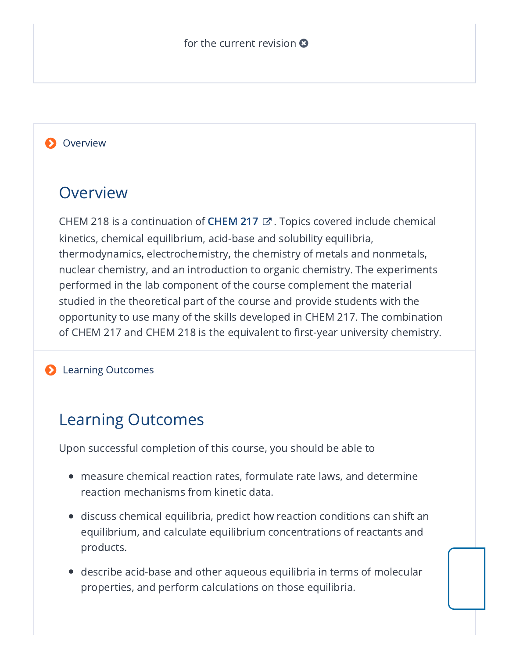#### **Overview**

## Overview

[CHEM](https://www-preview.athabascau.ca/syllabi/chem/chem217.html) 218 is a continuation of **CHEM 217**  $\mathbb{Z}$  . Topics covered include chemical kinetics, chemical equilibrium, acid-base and solubility equilibria, thermodynamics, electrochemistry, the chemistry of metals and nonmetals, nuclear chemistry, and an introduction to organic chemistry. The experiments performed in the lab component of the course complement the material studied in the theoretical part of the course and provide students with the opportunity to use many of the skills developed in CHEM 217. The combination of CHEM 217 and CHEM 218 is the equivalent to first-year university chemistry.

#### **D** Learning Outcomes

## Learning Outcomes

Upon successful completion of this course, you should be able to

- measure chemical reaction rates, formulate rate laws, and determine reaction mechanisms from kinetic data.
- $\bullet~$  discuss chemical equilibria, predict how reaction conditions can shift an equilibrium, and calculate equilibrium concentrations of reactants and products.
- describe acid-base and other aqueous equilibria in terms of molecular properties, and perform calculations on those equilibria.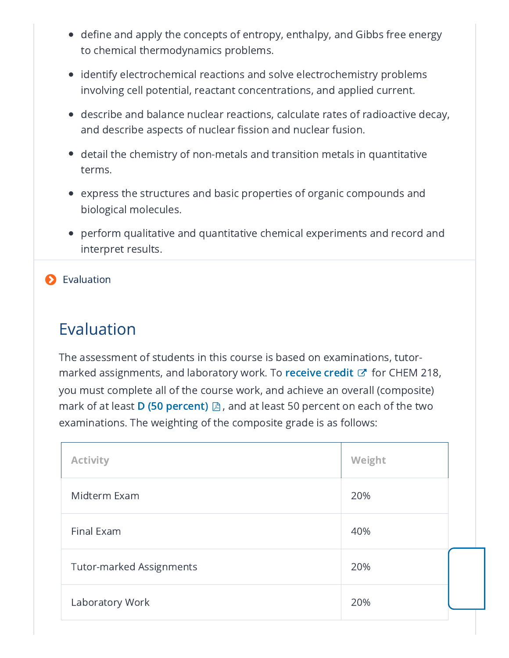- $\bullet~$  define and apply the concepts of entropy, enthalpy, and Gibbs free energy to chemical thermodynamics problems.
- $\bullet \;$  identify electrochemical reactions and solve electrochemistry problems involving cell potential, reactant concentrations, and applied current.
- describe and balance nuclear reactions, calculate rates of radioactive decay, and describe aspects of nuclear fission and nuclear fusion.
- $\bullet~$  detail the chemistry of non-metals and transition metals in quantitative terms.
- $\bullet~$  express the structures and basic properties of organic compounds and biological molecules.
- perform qualitative and quantitative chemical experiments and record and interpret results.

#### **D** Evaluation

# Evaluation

The assessment of students in this course is based on examinations, tutormarked assignments, and laboratory work. To [receive](http://calendar.athabascau.ca/undergrad/current/resources/undergrad-glossary.php#credit) credit  $\mathbb{C}^{\bullet}$  for CHEM 218, you must complete all of the course work, and achieve an overall (composite) mark of at least **D (50 [percent\)](http://ous.athabascau.ca/policy/registry/undergraduategradingpolicy2002.pdf)**  $\boxtimes$  , and at least 50 percent on each of the two examinations. The weighting of the composite grade is as follows:

| <b>Activity</b>                 | Weight |  |
|---------------------------------|--------|--|
| Midterm Exam                    | 20%    |  |
| Final Exam                      | 40%    |  |
| <b>Tutor-marked Assignments</b> | 20%    |  |
| Laboratory Work                 | 20%    |  |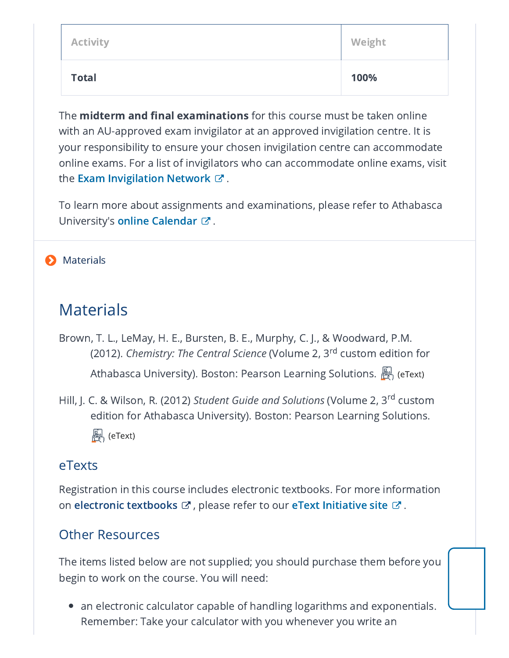| <b>Activity</b> | Weight |
|-----------------|--------|
| <b>Total</b>    | 100%   |

The **midterm and final examinations** for this course must be taken online with an AU-approved exam invigilator at an approved invigilation centre. It is your responsibility to ensure your chosen invigilation centre can accommodate online exams. For a list of invigilators who can accommodate online exams, visit the **Exam [Invigilation](http://registrar.athabascau.ca/exams/invignet.php) Network**  $\varnothing$  .

To learn more about assignments and examinations, please refer to Athabasca University's **online [Calendar](http://calendar.athabascau.ca/undergrad/current/exams-grades/index.php)**  $\mathbb{Z}$  .

#### **Materials**

## Materials

- Brown, T. L., LeMay, H. E., Bursten, B. E., Murphy, C. J., & Woodward, P.M. (2012). *Chemistry: The Central Science* (Volume 2, 3<sup>rd</sup> custom edition for Athabasca University). Boston: Pearson Learning Solutions.  $\mathbb{R}$  (eText)
- Hill, J. C. & Wilson, R. (2012) *Student Guide and Solutions* (Volume 2, 3<sup>rd</sup> custom edition for Athabasca University). Boston: Pearson Learning Solutions. (eText)

## eTexts

Registration in this course includes electronic textbooks. For more information on **electronic [textbooks](http://calendar.athabascau.ca/undergrad/current/resources/undergrad-glossary.php#etext)**  $\mathbf{\vec{C}}$  , please refer to our **eText [Initiative](https://www.athabascau.ca/etext-initiative/index.html) site**  $\mathbf{\vec{C}}$  .

## Other Resources

The items listed below are not supplied; you should purchase them before you begin to work on the course. You will need:

 $\bullet~$  an electronic calculator capable of handling logarithms and exponentials. Remember: Take your calculator with you whenever you write an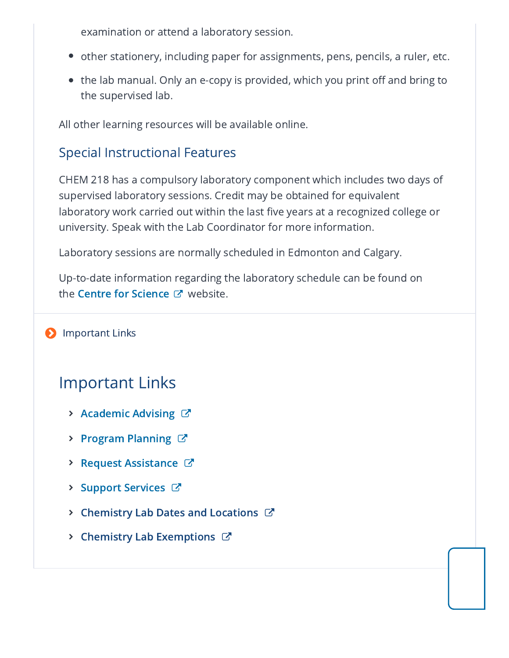examination or attend a laboratory session.

- other stationery, including paper for assignments, pens, pencils, a ruler, etc.
- the lab manual. Only an e-copy is provided, which you print off and bring to the supervised lab.

All other learning resources will be available online.

## Special Instructional Features

CHEM 218 has a compulsory laboratory component which includes two days of supervised laboratory sessions. Credit may be obtained for equivalent laboratory work carried out within the last five years at a recognized college or university. Speak with the Lab Coordinator for more information.

Laboratory sessions are normally scheduled in Edmonton and Calgary.

Up-to-date information regarding the laboratory schedule can be found on the Centre for [Science](http://science.athabascau.ca/)  $\mathbb{Z}^n$  website.

#### **D** Important Links

# Important Links

- $\triangleright$  [Academic](https://www.athabascau.ca/support-services/program-and-course-advising/index.html) Advising  $\triangleright$
- > Program [Planning](https://www.athabascau.ca/support-services/program-and-course-advising/advising-for-current-and-visiting-students/program-plans/index.html)  $\mathbb{Z}$
- $\triangleright$  Request [Assistance](https://www.athabascau.ca/help-support/)  $\mathbb{Z}$
- $\triangleright$  Support [Services](https://www.athabascau.ca/support-services/)  $\triangleright$
- $\triangleright$  [Chemistry](http://science.athabascau.ca/Labs/schedules/general-chemistry.php) Lab Dates and Locations  $\mathbb{C}^n$
- $\triangleright$  Chemistry Lab [Exemptions](http://science.athabascau.ca/Labs/exemptions/chemistry.php)  $\mathbb{Z}$